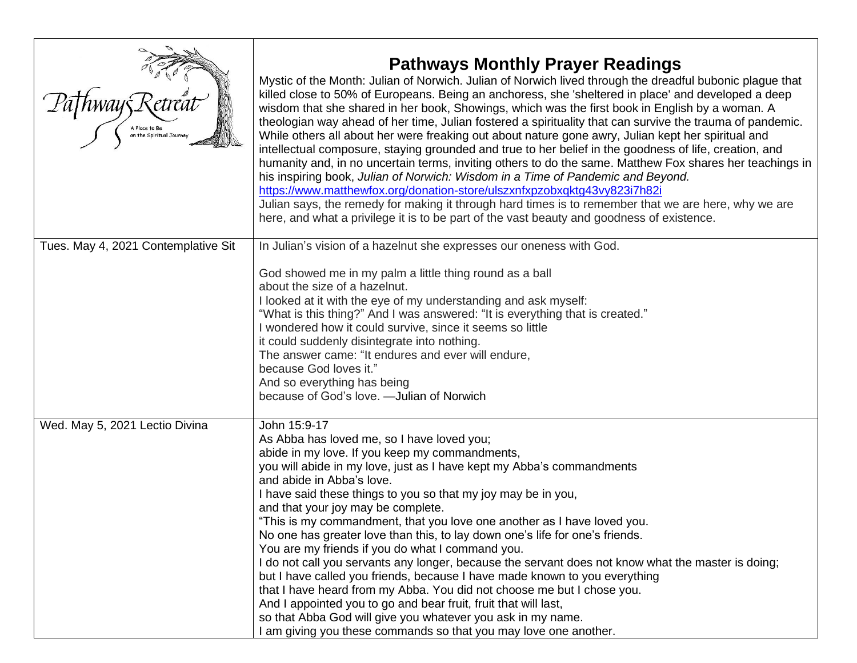| A Place to Be                       | <b>Pathways Monthly Prayer Readings</b><br>Mystic of the Month: Julian of Norwich. Julian of Norwich lived through the dreadful bubonic plague that<br>killed close to 50% of Europeans. Being an anchoress, she 'sheltered in place' and developed a deep<br>wisdom that she shared in her book, Showings, which was the first book in English by a woman. A<br>theologian way ahead of her time, Julian fostered a spirituality that can survive the trauma of pandemic.<br>While others all about her were freaking out about nature gone awry, Julian kept her spiritual and<br>intellectual composure, staying grounded and true to her belief in the goodness of life, creation, and<br>humanity and, in no uncertain terms, inviting others to do the same. Matthew Fox shares her teachings in<br>his inspiring book, Julian of Norwich: Wisdom in a Time of Pandemic and Beyond.<br>https://www.matthewfox.org/donation-store/ulszxnfxpzobxqktg43vy823i7h82i<br>Julian says, the remedy for making it through hard times is to remember that we are here, why we are<br>here, and what a privilege it is to be part of the vast beauty and goodness of existence. |
|-------------------------------------|----------------------------------------------------------------------------------------------------------------------------------------------------------------------------------------------------------------------------------------------------------------------------------------------------------------------------------------------------------------------------------------------------------------------------------------------------------------------------------------------------------------------------------------------------------------------------------------------------------------------------------------------------------------------------------------------------------------------------------------------------------------------------------------------------------------------------------------------------------------------------------------------------------------------------------------------------------------------------------------------------------------------------------------------------------------------------------------------------------------------------------------------------------------------------|
| Tues. May 4, 2021 Contemplative Sit | In Julian's vision of a hazelnut she expresses our oneness with God.<br>God showed me in my palm a little thing round as a ball<br>about the size of a hazelnut.<br>I looked at it with the eye of my understanding and ask myself:<br>"What is this thing?" And I was answered: "It is everything that is created."<br>I wondered how it could survive, since it seems so little<br>it could suddenly disintegrate into nothing.<br>The answer came: "It endures and ever will endure,<br>because God loves it."<br>And so everything has being<br>because of God's love. - Julian of Norwich                                                                                                                                                                                                                                                                                                                                                                                                                                                                                                                                                                             |
| Wed. May 5, 2021 Lectio Divina      | John 15:9-17<br>As Abba has loved me, so I have loved you;<br>abide in my love. If you keep my commandments,<br>you will abide in my love, just as I have kept my Abba's commandments<br>and abide in Abba's love.<br>I have said these things to you so that my joy may be in you,<br>and that your joy may be complete.<br>"This is my commandment, that you love one another as I have loved you.<br>No one has greater love than this, to lay down one's life for one's friends.<br>You are my friends if you do what I command you.<br>I do not call you servants any longer, because the servant does not know what the master is doing;<br>but I have called you friends, because I have made known to you everything<br>that I have heard from my Abba. You did not choose me but I chose you.<br>And I appointed you to go and bear fruit, fruit that will last,<br>so that Abba God will give you whatever you ask in my name.<br>I am giving you these commands so that you may love one another.                                                                                                                                                               |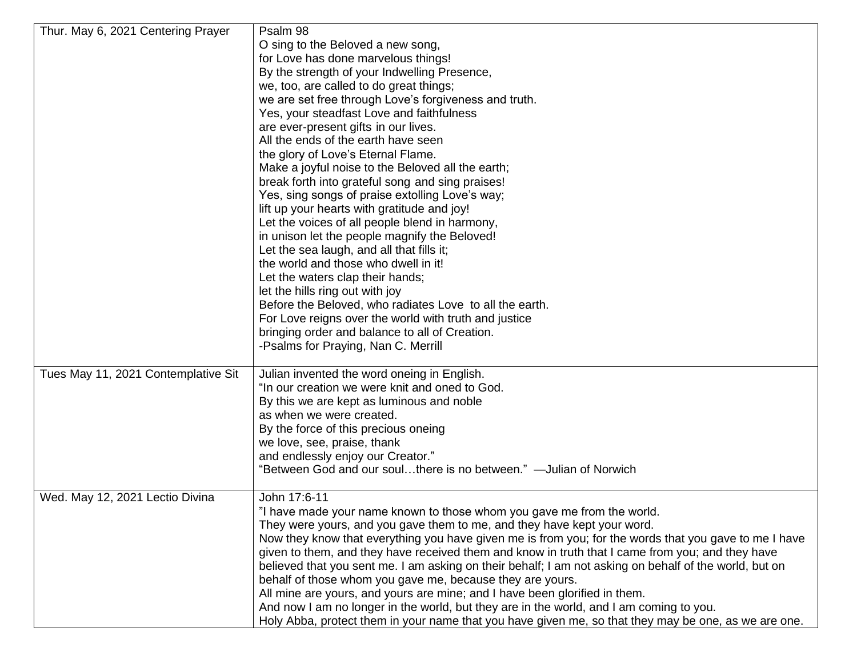| Thur. May 6, 2021 Centering Prayer  | Psalm 98                                                                                               |
|-------------------------------------|--------------------------------------------------------------------------------------------------------|
|                                     | O sing to the Beloved a new song,                                                                      |
|                                     | for Love has done marvelous things!                                                                    |
|                                     | By the strength of your Indwelling Presence,                                                           |
|                                     | we, too, are called to do great things;                                                                |
|                                     | we are set free through Love's forgiveness and truth.                                                  |
|                                     | Yes, your steadfast Love and faithfulness                                                              |
|                                     | are ever-present gifts in our lives.                                                                   |
|                                     | All the ends of the earth have seen                                                                    |
|                                     | the glory of Love's Eternal Flame.                                                                     |
|                                     | Make a joyful noise to the Beloved all the earth;                                                      |
|                                     | break forth into grateful song and sing praises!                                                       |
|                                     | Yes, sing songs of praise extolling Love's way;                                                        |
|                                     |                                                                                                        |
|                                     | lift up your hearts with gratitude and joy!                                                            |
|                                     | Let the voices of all people blend in harmony,                                                         |
|                                     | in unison let the people magnify the Beloved!                                                          |
|                                     | Let the sea laugh, and all that fills it;                                                              |
|                                     | the world and those who dwell in it!                                                                   |
|                                     | Let the waters clap their hands;                                                                       |
|                                     | let the hills ring out with joy                                                                        |
|                                     | Before the Beloved, who radiates Love to all the earth.                                                |
|                                     | For Love reigns over the world with truth and justice                                                  |
|                                     | bringing order and balance to all of Creation.                                                         |
|                                     | -Psalms for Praying, Nan C. Merrill                                                                    |
| Tues May 11, 2021 Contemplative Sit | Julian invented the word oneing in English.                                                            |
|                                     | "In our creation we were knit and oned to God.                                                         |
|                                     | By this we are kept as luminous and noble                                                              |
|                                     | as when we were created.                                                                               |
|                                     | By the force of this precious oneing                                                                   |
|                                     | we love, see, praise, thank                                                                            |
|                                     | and endlessly enjoy our Creator."                                                                      |
|                                     | "Between God and our soulthere is no between." — Julian of Norwich                                     |
|                                     |                                                                                                        |
| Wed. May 12, 2021 Lectio Divina     | John 17:6-11                                                                                           |
|                                     | "I have made your name known to those whom you gave me from the world.                                 |
|                                     | They were yours, and you gave them to me, and they have kept your word.                                |
|                                     | Now they know that everything you have given me is from you; for the words that you gave to me I have  |
|                                     | given to them, and they have received them and know in truth that I came from you; and they have       |
|                                     | believed that you sent me. I am asking on their behalf; I am not asking on behalf of the world, but on |
|                                     | behalf of those whom you gave me, because they are yours.                                              |
|                                     | All mine are yours, and yours are mine; and I have been glorified in them.                             |
|                                     | And now I am no longer in the world, but they are in the world, and I am coming to you.                |
|                                     | Holy Abba, protect them in your name that you have given me, so that they may be one, as we are one.   |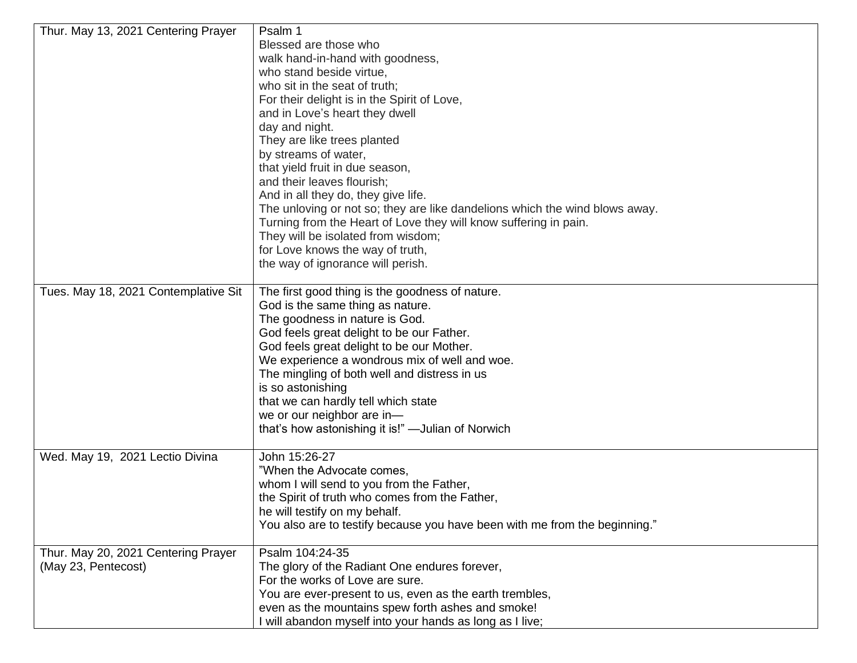| Thur. May 13, 2021 Centering Prayer  | Psalm 1                                                                     |
|--------------------------------------|-----------------------------------------------------------------------------|
|                                      | Blessed are those who                                                       |
|                                      | walk hand-in-hand with goodness,                                            |
|                                      | who stand beside virtue,                                                    |
|                                      | who sit in the seat of truth;                                               |
|                                      | For their delight is in the Spirit of Love,                                 |
|                                      | and in Love's heart they dwell                                              |
|                                      | day and night.                                                              |
|                                      | They are like trees planted                                                 |
|                                      | by streams of water,                                                        |
|                                      | that yield fruit in due season,                                             |
|                                      | and their leaves flourish;                                                  |
|                                      | And in all they do, they give life.                                         |
|                                      | The unloving or not so; they are like dandelions which the wind blows away. |
|                                      | Turning from the Heart of Love they will know suffering in pain.            |
|                                      | They will be isolated from wisdom;                                          |
|                                      | for Love knows the way of truth,                                            |
|                                      | the way of ignorance will perish.                                           |
|                                      |                                                                             |
| Tues. May 18, 2021 Contemplative Sit | The first good thing is the goodness of nature.                             |
|                                      | God is the same thing as nature.                                            |
|                                      | The goodness in nature is God.                                              |
|                                      | God feels great delight to be our Father.                                   |
|                                      | God feels great delight to be our Mother.                                   |
|                                      | We experience a wondrous mix of well and woe.                               |
|                                      | The mingling of both well and distress in us                                |
|                                      | is so astonishing                                                           |
|                                      | that we can hardly tell which state                                         |
|                                      | we or our neighbor are in-                                                  |
|                                      | that's how astonishing it is!" -Julian of Norwich                           |
|                                      |                                                                             |
| Wed. May 19, 2021 Lectio Divina      | John 15:26-27                                                               |
|                                      | "When the Advocate comes,                                                   |
|                                      | whom I will send to you from the Father,                                    |
|                                      | the Spirit of truth who comes from the Father,                              |
|                                      | he will testify on my behalf.                                               |
|                                      | You also are to testify because you have been with me from the beginning."  |
|                                      |                                                                             |
| Thur. May 20, 2021 Centering Prayer  | Psalm 104:24-35                                                             |
| (May 23, Pentecost)                  | The glory of the Radiant One endures forever,                               |
|                                      | For the works of Love are sure.                                             |
|                                      | You are ever-present to us, even as the earth trembles,                     |
|                                      | even as the mountains spew forth ashes and smoke!                           |
|                                      | I will abandon myself into your hands as long as I live;                    |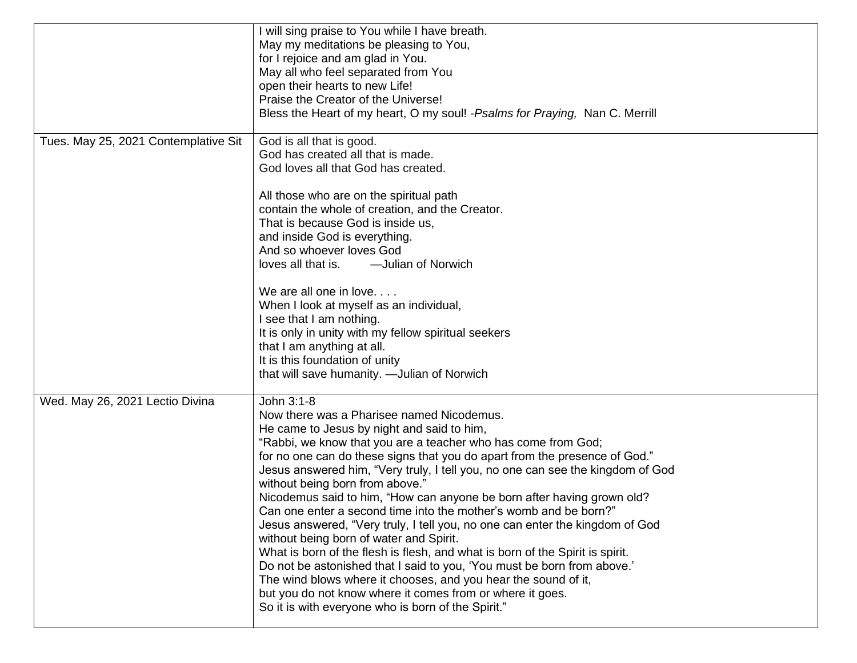|                                      | will sing praise to You while I have breath.                                   |
|--------------------------------------|--------------------------------------------------------------------------------|
|                                      | May my meditations be pleasing to You,                                         |
|                                      | for I rejoice and am glad in You.                                              |
|                                      | May all who feel separated from You                                            |
|                                      | open their hearts to new Life!                                                 |
|                                      | Praise the Creator of the Universe!                                            |
|                                      |                                                                                |
|                                      | Bless the Heart of my heart, O my soul! - Psalms for Praying, Nan C. Merrill   |
| Tues. May 25, 2021 Contemplative Sit | God is all that is good.                                                       |
|                                      | God has created all that is made.                                              |
|                                      | God loves all that God has created.                                            |
|                                      |                                                                                |
|                                      | All those who are on the spiritual path                                        |
|                                      | contain the whole of creation, and the Creator.                                |
|                                      | That is because God is inside us,                                              |
|                                      | and inside God is everything.                                                  |
|                                      | And so whoever loves God                                                       |
|                                      | loves all that is. - - Julian of Norwich                                       |
|                                      |                                                                                |
|                                      | We are all one in love.                                                        |
|                                      | When I look at myself as an individual,                                        |
|                                      | I see that I am nothing.                                                       |
|                                      | It is only in unity with my fellow spiritual seekers                           |
|                                      | that I am anything at all.                                                     |
|                                      | It is this foundation of unity                                                 |
|                                      | that will save humanity. - Julian of Norwich                                   |
|                                      |                                                                                |
| Wed. May 26, 2021 Lectio Divina      | John 3:1-8                                                                     |
|                                      | Now there was a Pharisee named Nicodemus.                                      |
|                                      | He came to Jesus by night and said to him,                                     |
|                                      | "Rabbi, we know that you are a teacher who has come from God;                  |
|                                      | for no one can do these signs that you do apart from the presence of God."     |
|                                      | Jesus answered him, "Very truly, I tell you, no one can see the kingdom of God |
|                                      | without being born from above."                                                |
|                                      | Nicodemus said to him, "How can anyone be born after having grown old?         |
|                                      | Can one enter a second time into the mother's womb and be born?"               |
|                                      | Jesus answered, "Very truly, I tell you, no one can enter the kingdom of God   |
|                                      | without being born of water and Spirit.                                        |
|                                      | What is born of the flesh is flesh, and what is born of the Spirit is spirit.  |
|                                      | Do not be astonished that I said to you, 'You must be born from above.'        |
|                                      | The wind blows where it chooses, and you hear the sound of it,                 |
|                                      | but you do not know where it comes from or where it goes.                      |
|                                      | So it is with everyone who is born of the Spirit."                             |
|                                      |                                                                                |